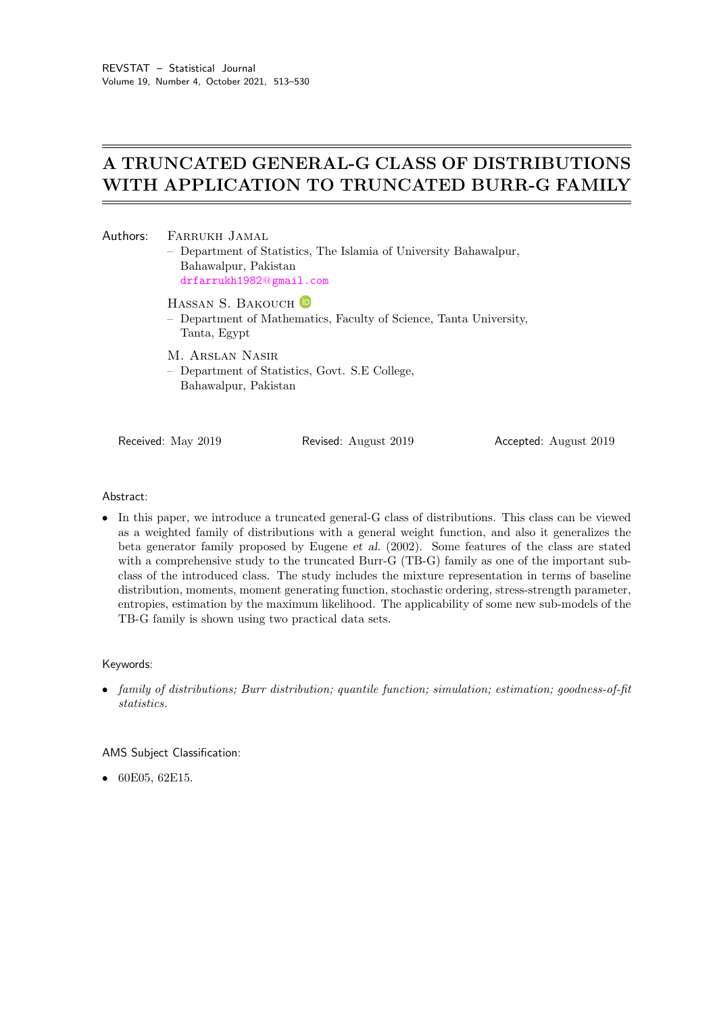# A TRUNCATED GENERAL-G CLASS OF DISTRIBUTIONS WITH APPLICATION TO TRUNCATED BURR-G FAMILY

| Authors: | FARRUKH JAMAL<br>Bahawalpur, Pakistan<br>drfarrukh1982@gmail.com                                                     | - Department of Statistics, The Islamia of University Bahawalpur, |                       |  |  |  |
|----------|----------------------------------------------------------------------------------------------------------------------|-------------------------------------------------------------------|-----------------------|--|--|--|
|          | HASSAN S. BAKOUCH <sup>D</sup><br>- Department of Mathematics, Faculty of Science, Tanta University,<br>Tanta, Egypt |                                                                   |                       |  |  |  |
|          | M. ARSLAN NASIR<br>- Department of Statistics, Govt. S.E College,<br>Bahawalpur, Pakistan                            |                                                                   |                       |  |  |  |
|          | Received: May 2019                                                                                                   | Revised: August 2019                                              | Accepted: August 2019 |  |  |  |

#### Abstract:

• In this paper, we introduce a truncated general-G class of distributions. This class can be viewed as a weighted family of distributions with a general weight function, and also it generalizes the beta generator family proposed by Eugene et al. (2002). Some features of the class are stated with a comprehensive study to the truncated Burr-G (TB-G) family as one of the important subclass of the introduced class. The study includes the mixture representation in terms of baseline distribution, moments, moment generating function, stochastic ordering, stress-strength parameter, entropies, estimation by the maximum likelihood. The applicability of some new sub-models of the TB-G family is shown using two practical data sets.

#### Keywords:

• family of distributions; Burr distribution; quantile function; simulation; estimation; goodness-of-fit statistics.

AMS Subject Classification:

• 60E05, 62E15.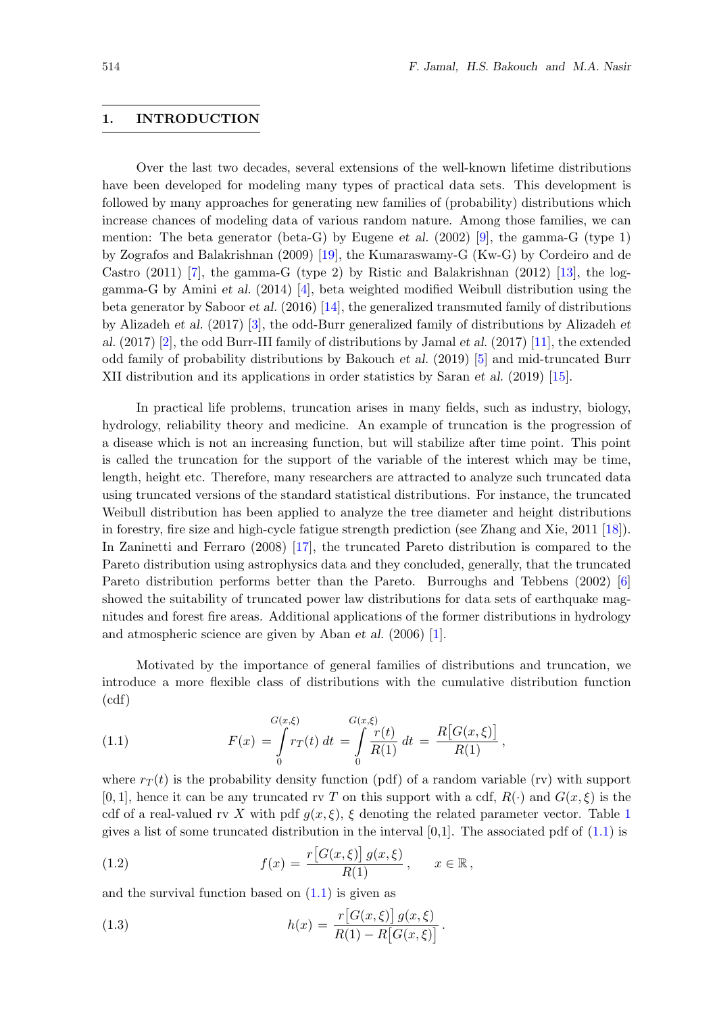#### 1. INTRODUCTION

Over the last two decades, several extensions of the well-known lifetime distributions have been developed for modeling many types of practical data sets. This development is followed by many approaches for generating new families of (probability) distributions which increase chances of modeling data of various random nature. Among those families, we can mention: The beta generator (beta-G) by Eugene et al. (2002) [\[9\]](#page-17-0), the gamma-G (type 1) by Zografos and Balakrishnan (2009) [\[19\]](#page-17-1), the Kumaraswamy-G (Kw-G) by Cordeiro and de Castro (2011) [\[7\]](#page-17-2), the gamma-G (type 2) by Ristic and Balakrishnan (2012) [\[13\]](#page-17-3), the loggamma-G by Amini et al.  $(2014)$  [\[4\]](#page-17-4), beta weighted modified Weibull distribution using the beta generator by Saboor et al. (2016) [\[14\]](#page-17-5), the generalized transmuted family of distributions by Alizadeh et al. (2017) [\[3\]](#page-17-6), the odd-Burr generalized family of distributions by Alizadeh et al. (2017) [\[2\]](#page-17-7), the odd Burr-III family of distributions by Jamal et al. (2017) [\[11\]](#page-17-8), the extended odd family of probability distributions by Bakouch et al. (2019) [\[5\]](#page-17-9) and mid-truncated Burr XII distribution and its applications in order statistics by Saran et al. (2019) [\[15\]](#page-17-10).

In practical life problems, truncation arises in many fields, such as industry, biology, hydrology, reliability theory and medicine. An example of truncation is the progression of a disease which is not an increasing function, but will stabilize after time point. This point is called the truncation for the support of the variable of the interest which may be time, length, height etc. Therefore, many researchers are attracted to analyze such truncated data using truncated versions of the standard statistical distributions. For instance, the truncated Weibull distribution has been applied to analyze the tree diameter and height distributions in forestry, fire size and high-cycle fatigue strength prediction (see Zhang and Xie, 2011 [\[18\]](#page-17-11)). In Zaninetti and Ferraro (2008) [\[17\]](#page-17-12), the truncated Pareto distribution is compared to the Pareto distribution using astrophysics data and they concluded, generally, that the truncated Pareto distribution performs better than the Pareto. Burroughs and Tebbens (2002) [\[6\]](#page-17-13) showed the suitability of truncated power law distributions for data sets of earthquake magnitudes and forest fire areas. Additional applications of the former distributions in hydrology and atmospheric science are given by Aban et al. (2006) [\[1\]](#page-17-14).

<span id="page-1-0"></span>Motivated by the importance of general families of distributions and truncation, we introduce a more flexible class of distributions with the cumulative distribution function (cdf)

(1.1) 
$$
F(x) = \int_{0}^{G(x,\xi)} r_T(t) dt = \int_{0}^{G(x,\xi)} \frac{r(t)}{R(1)} dt = \frac{R[G(x,\xi)]}{R(1)},
$$

where  $r_T(t)$  is the probability density function (pdf) of a random variable (rv) with support  $[0, 1]$ , hence it can be any truncated rv T on this support with a cdf,  $R(\cdot)$  and  $G(x, \xi)$  is the cdf of a real-valued rv X with pdf  $g(x, \xi)$ ,  $\xi$  denoting the related parameter vector. Table [1](#page-2-0) gives a list of some truncated distribution in the interval  $[0,1]$ . The associated pdf of  $(1.1)$  is

<span id="page-1-1"></span>(1.2) 
$$
f(x) = \frac{r\big[G(x,\xi)\big]g(x,\xi)}{R(1)}, \quad x \in \mathbb{R},
$$

and the survival function based on  $(1.1)$  is given as

(1.3) 
$$
h(x) = \frac{r[G(x,\xi)] g(x,\xi)}{R(1) - R[G(x,\xi)]}.
$$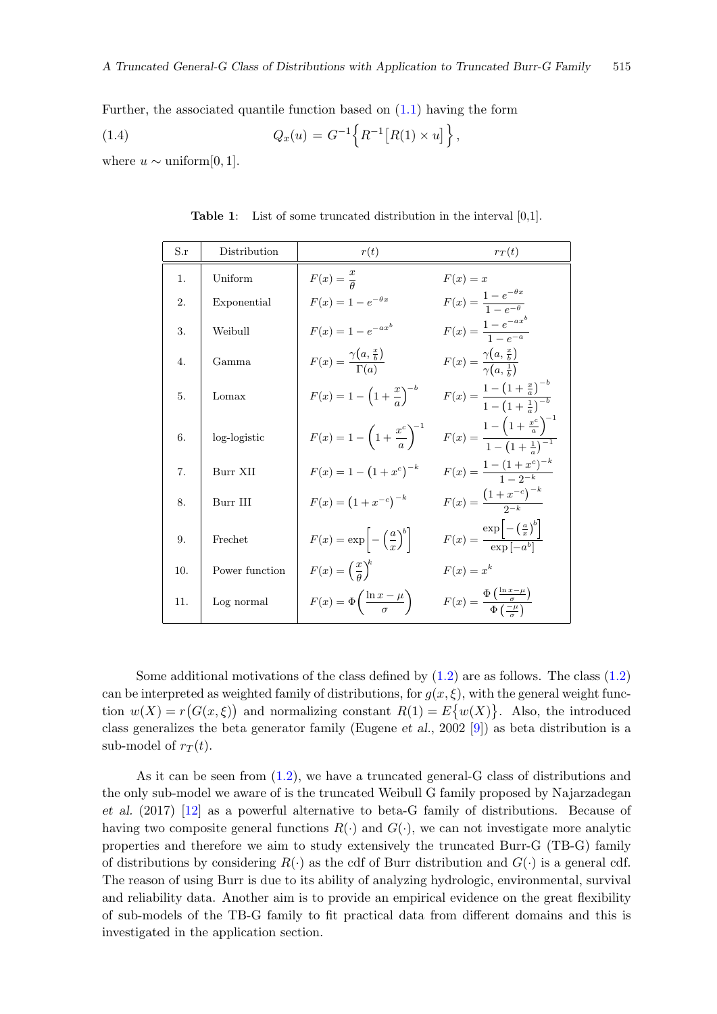Further, the associated quantile function based on [\(1.1\)](#page-1-0) having the form

(1.4) 
$$
Q_x(u) = G^{-1}\left\{R^{-1}[R(1) \times u]\right\},\,
$$

<span id="page-2-0"></span>where  $u \sim \text{uniform}[0, 1].$ 

| S.r | Distribution   | r(t)                                                   | $r_T(t)$                                                                                          |
|-----|----------------|--------------------------------------------------------|---------------------------------------------------------------------------------------------------|
| 1.  | Uniform        | $F(x) = \frac{x}{a}$                                   | $F(x) = x$                                                                                        |
| 2.  | Exponential    | $F(x) = 1 - e^{-\theta x}$                             | $F(x) = \frac{1 - e^{-\theta x}}{1 - e^{-\theta}}$                                                |
| 3.  | Weibull        | $F(x) = 1 - e^{-ax^b}$                                 | $F(x) = \frac{1 - e^{-ax}}{1 - e^{-a}}$                                                           |
| 4.  | Gamma          | $F(x) = \frac{\gamma(a, \frac{x}{b})}{\Gamma(a)}$      | $F(x) = \frac{\gamma\left(a, \frac{x}{b}\right)}{\gamma\left(a, \frac{1}{b}\right)}$              |
| 5.  | Lomax          | $F(x) = 1 - \left(1 + \frac{x}{a}\right)^{-b}$         | $F(x) = \frac{1 - \left(1 + \frac{x}{a}\right)^{-b}}{1 - \left(1 + \frac{1}{a}\right)^{-b}}$      |
| 6.  | log-logistic   | $F(x) = 1 - \left(1 + \frac{x^{c}}{a}\right)^{-1}$     | $F(x) = \frac{1 - \left(1 + \frac{x^{c}}{a}\right)^{-1}}{1 - \left(1 + \frac{1}{a}\right)^{-1}}$  |
| 7.  | Burr XII       | $F(x) = 1 - (1 + x^c)^{-k}$                            | $F(x) = \frac{1 - (1 + x^c)^{-\kappa}}{1 - x^c}$                                                  |
| 8.  | Burr III       | $F(x) = (1 + x^{-c})^{-k}$                             | $F(x) = \frac{(1+x^{-c})^{-k}}{2^{-k}}$                                                           |
| 9.  | Frechet        | $F(x) = \exp \left[-\left(\frac{a}{x}\right)^b\right]$ | $F(x) = \frac{\exp\left[-\left(\frac{a}{x}\right)^b\right]}{\exp\left[-\frac{ab}{x}\right]}$      |
| 10. | Power function | $F(x) = \left(\frac{x}{a}\right)^k$                    | $F(x) = x^k$                                                                                      |
| 11. | Log normal     | $F(x) = \Phi\left(\frac{\ln x - \mu}{\sigma}\right)$   | $F(x) = \frac{\Phi\left(\frac{\ln x - \mu}{\sigma}\right)}{\Phi\left(\frac{-\mu}{\sigma}\right)}$ |

Table 1: List of some truncated distribution in the interval [0,1].

Some additional motivations of the class defined by  $(1.2)$  are as follows. The class  $(1.2)$ can be interpreted as weighted family of distributions, for  $g(x, \xi)$ , with the general weight function  $w(X) = r(G(x, \xi))$  and normalizing constant  $R(1) = E\{w(X)\}\.$  Also, the introduced class generalizes the beta generator family (Eugene et al., 2002 [\[9\]](#page-17-0)) as beta distribution is a sub-model of  $r_T(t)$ .

As it can be seen from [\(1.2\)](#page-1-1), we have a truncated general-G class of distributions and the only sub-model we aware of is the truncated Weibull G family proposed by Najarzadegan et al. (2017) [\[12\]](#page-17-15) as a powerful alternative to beta-G family of distributions. Because of having two composite general functions  $R(\cdot)$  and  $G(\cdot)$ , we can not investigate more analytic properties and therefore we aim to study extensively the truncated Burr-G (TB-G) family of distributions by considering  $R(\cdot)$  as the cdf of Burr distribution and  $G(\cdot)$  is a general cdf. The reason of using Burr is due to its ability of analyzing hydrologic, environmental, survival and reliability data. Another aim is to provide an empirical evidence on the great flexibility of sub-models of the TB-G family to fit practical data from different domains and this is investigated in the application section.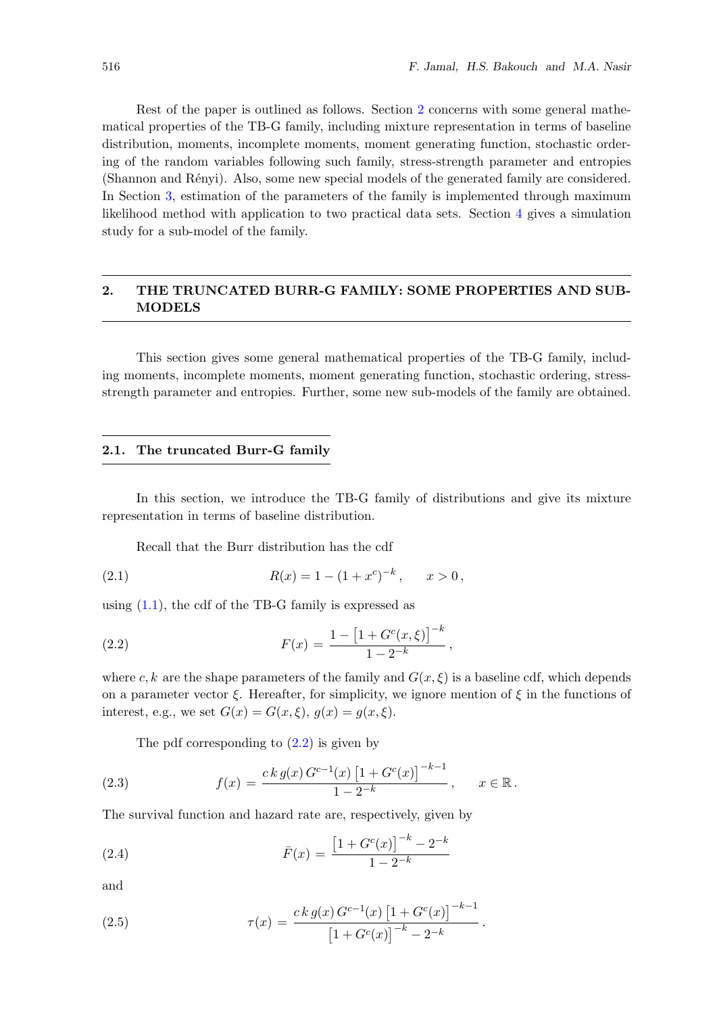Rest of the paper is outlined as follows. Section [2](#page-3-0) concerns with some general mathematical properties of the TB-G family, including mixture representation in terms of baseline distribution, moments, incomplete moments, moment generating function, stochastic ordering of the random variables following such family, stress-strength parameter and entropies (Shannon and Rényi). Also, some new special models of the generated family are considered. In Section [3,](#page-11-0) estimation of the parameters of the family is implemented through maximum likelihood method with application to two practical data sets. Section [4](#page-14-0) gives a simulation study for a sub-model of the family.

## <span id="page-3-0"></span>2. THE TRUNCATED BURR-G FAMILY: SOME PROPERTIES AND SUB-MODELS

This section gives some general mathematical properties of the TB-G family, including moments, incomplete moments, moment generating function, stochastic ordering, stressstrength parameter and entropies. Further, some new sub-models of the family are obtained.

#### 2.1. The truncated Burr-G family

In this section, we introduce the TB-G family of distributions and give its mixture representation in terms of baseline distribution.

<span id="page-3-1"></span>Recall that the Burr distribution has the cdf

(2.1) 
$$
R(x) = 1 - (1 + x^c)^{-k}, \quad x > 0,
$$

using  $(1.1)$ , the cdf of the TB-G family is expressed as

(2.2) 
$$
F(x) = \frac{1 - \left[1 + G^c(x, \xi)\right]^{-k}}{1 - 2^{-k}},
$$

where c, k are the shape parameters of the family and  $G(x, \xi)$  is a baseline cdf, which depends on a parameter vector  $\xi$ . Hereafter, for simplicity, we ignore mention of  $\xi$  in the functions of interest, e.g., we set  $G(x) = G(x, \xi)$ ,  $q(x) = q(x, \xi)$ .

<span id="page-3-2"></span>The pdf corresponding to [\(2.2\)](#page-3-1) is given by

(2.3) 
$$
f(x) = \frac{ck g(x) G^{c-1}(x) [1 + G^c(x)]^{-k-1}}{1 - 2^{-k}}, \quad x \in \mathbb{R}.
$$

The survival function and hazard rate are, respectively, given by

(2.4) 
$$
\bar{F}(x) = \frac{\left[1 + G^c(x)\right]^{-k} - 2^{-k}}{1 - 2^{-k}}
$$

(2.5) 
$$
\tau(x) = \frac{ck \, g(x) \, G^{c-1}(x) \left[1 + G^c(x)\right]^{-k-1}}{\left[1 + G^c(x)\right]^{-k} - 2^{-k}}.
$$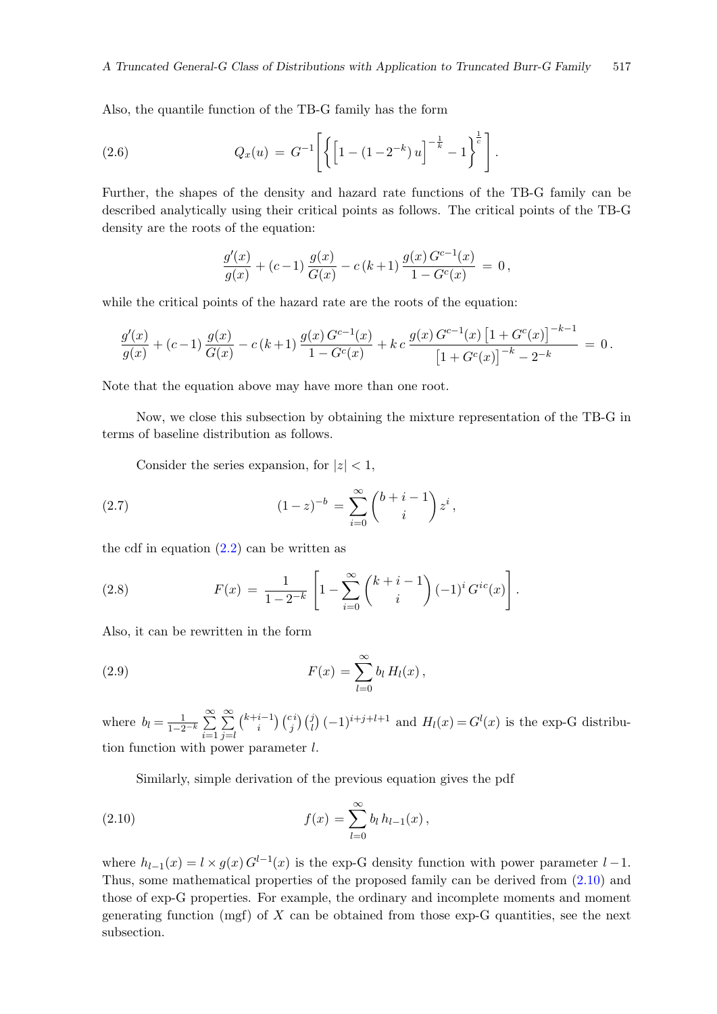Also, the quantile function of the TB-G family has the form

(2.6) 
$$
Q_x(u) = G^{-1}\left[\left\{\left[1 - (1 - 2^{-k})u\right]^{-\frac{1}{k}} - 1\right\}^{\frac{1}{c}}\right].
$$

Further, the shapes of the density and hazard rate functions of the TB-G family can be described analytically using their critical points as follows. The critical points of the TB-G density are the roots of the equation:

$$
\frac{g'(x)}{g(x)} + (c-1)\frac{g(x)}{G(x)} - c(k+1)\frac{g(x)G^{c-1}(x)}{1 - G^c(x)} = 0,
$$

while the critical points of the hazard rate are the roots of the equation:

$$
\frac{g'(x)}{g(x)} + (c-1)\frac{g(x)}{G(x)} - c(k+1)\frac{g(x)G^{c-1}(x)}{1 - G^c(x)} + k c \frac{g(x)G^{c-1}(x)\left[1 + G^c(x)\right]^{-k-1}}{\left[1 + G^c(x)\right]^{-k} - 2^{-k}} = 0.
$$

Note that the equation above may have more than one root.

Now, we close this subsection by obtaining the mixture representation of the TB-G in terms of baseline distribution as follows.

Consider the series expansion, for  $|z| < 1$ ,

(2.7) 
$$
(1-z)^{-b} = \sum_{i=0}^{\infty} {b+i-1 \choose i} z^i,
$$

the cdf in equation  $(2.2)$  can be written as

(2.8) 
$$
F(x) = \frac{1}{1 - 2^{-k}} \left[ 1 - \sum_{i=0}^{\infty} {k + i - 1 \choose i} (-1)^i G^{ic}(x) \right].
$$

<span id="page-4-1"></span>Also, it can be rewritten in the form

(2.9) 
$$
F(x) = \sum_{l=0}^{\infty} b_l H_l(x),
$$

where  $b_l = \frac{1}{1-2^{-k}} \sum_{r=1}^{\infty}$  $i=1$  $\sum_{i=1}^{\infty}$  $j=l$  $\binom{k+i-1}{i}$  $\binom{i-1}{i}\binom{c}{j}\left(-1\right)^{i+j+l+1}$  and  $H_l(x) = G^l(x)$  is the exp-G distribution function with power parameter l.

<span id="page-4-0"></span>Similarly, simple derivation of the previous equation gives the pdf

(2.10) 
$$
f(x) = \sum_{l=0}^{\infty} b_l h_{l-1}(x),
$$

where  $h_{l-1}(x) = l \times g(x) G^{l-1}(x)$  is the exp-G density function with power parameter  $l-1$ . Thus, some mathematical properties of the proposed family can be derived from [\(2.10\)](#page-4-0) and those of exp-G properties. For example, the ordinary and incomplete moments and moment generating function (mgf) of  $X$  can be obtained from those exp-G quantities, see the next subsection.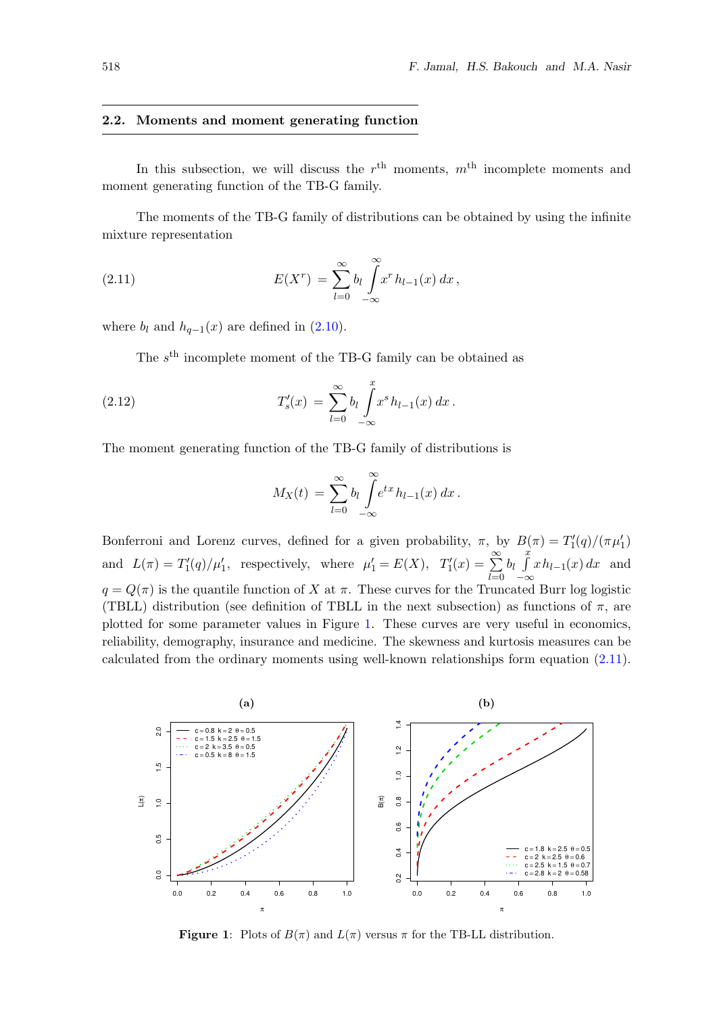#### 2.2. Moments and moment generating function

In this subsection, we will discuss the  $r<sup>th</sup>$  moments,  $m<sup>th</sup>$  incomplete moments and moment generating function of the TB-G family.

<span id="page-5-1"></span>The moments of the TB-G family of distributions can be obtained by using the infinite mixture representation

(2.11) 
$$
E(X^r) = \sum_{l=0}^{\infty} b_l \int_{-\infty}^{\infty} x^r h_{l-1}(x) dx,
$$

where  $b_l$  and  $h_{q-1}(x)$  are defined in [\(2.10\)](#page-4-0).

The  $s<sup>th</sup>$  incomplete moment of the TB-G family can be obtained as

(2.12) 
$$
T'_{s}(x) = \sum_{l=0}^{\infty} b_{l} \int_{-\infty}^{x} x^{s} h_{l-1}(x) dx.
$$

The moment generating function of the TB-G family of distributions is

$$
M_X(t) = \sum_{l=0}^{\infty} b_l \int_{-\infty}^{\infty} e^{tx} h_{l-1}(x) dx.
$$

Bonferroni and Lorenz curves, defined for a given probability,  $\pi$ , by  $B(\pi) = T_1'(q)/(\pi \mu'_1)$ and  $L(\pi) = T'_1(q)/\mu'_1$ , respectively, where  $\mu'_1 = E(X)$ ,  $T'_1(x) = \sum_{n=1}^{\infty}$  $_{l=0}$  $b_l \int_a^x$  $-\infty$  $xh_{l-1}(x) dx$  and  $q = Q(\pi)$  is the quantile function of X at  $\pi$ . These curves for the Truncated Burr log logistic (TBLL) distribution (see definition of TBLL in the next subsection) as functions of  $\pi$ , are plotted for some parameter values in Figure [1.](#page-5-0) These curves are very useful in economics, reliability, demography, insurance and medicine. The skewness and kurtosis measures can be calculated from the ordinary moments using well-known relationships form equation [\(2.11\)](#page-5-1).

<span id="page-5-0"></span>

**Figure 1:** Plots of  $B(\pi)$  and  $L(\pi)$  versus  $\pi$  for the TB-LL distribution.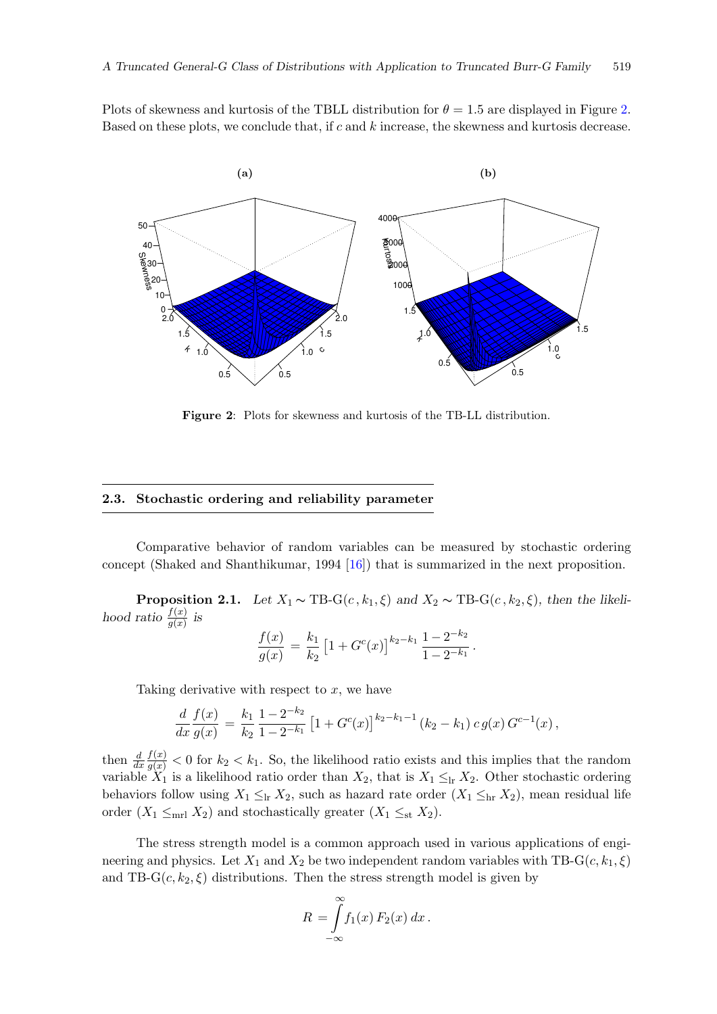Plots of skewness and kurtosis of the TBLL distribution for  $\theta = 1.5$  are displayed in Figure [2.](#page-6-0) Based on these plots, we conclude that, if  $c$  and  $k$  increase, the skewness and kurtosis decrease.

<span id="page-6-0"></span>

Figure 2: Plots for skewness and kurtosis of the TB-LL distribution.

#### 2.3. Stochastic ordering and reliability parameter

Comparative behavior of random variables can be measured by stochastic ordering concept (Shaked and Shanthikumar, 1994 [\[16\]](#page-17-16)) that is summarized in the next proposition.

**Proposition 2.1.** Let  $X_1 \sim \text{TB-G}(c, k_1, \xi)$  and  $X_2 \sim \text{TB-G}(c, k_2, \xi)$ , then the likelihood ratio  $\frac{f(x)}{g(x)}$  is

$$
\frac{f(x)}{g(x)} = \frac{k_1}{k_2} \left[ 1 + G^c(x) \right]^{k_2 - k_1} \frac{1 - 2^{-k_2}}{1 - 2^{-k_1}}.
$$

Taking derivative with respect to  $x$ , we have

$$
\frac{d}{dx}\frac{f(x)}{g(x)} = \frac{k_1}{k_2}\frac{1-2^{-k_2}}{1-2^{-k_1}}\left[1+G^c(x)\right]^{k_2-k_1-1}(k_2-k_1)\,c\,g(x)\,G^{c-1}(x)\,,
$$

then  $\frac{d}{dx}$  $\frac{f(x)}{g(x)} < 0$  for  $k_2 < k_1$ . So, the likelihood ratio exists and this implies that the random variable  $X_1$  is a likelihood ratio order than  $X_2$ , that is  $X_1 \leq_{\text{lr}} X_2$ . Other stochastic ordering behaviors follow using  $X_1 \leq_{\text{lr}} X_2$ , such as hazard rate order  $(X_1 \leq_{\text{hr}} X_2)$ , mean residual life order  $(X_1 \leq_{\text{mrl}} X_2)$  and stochastically greater  $(X_1 \leq_{\text{st}} X_2)$ .

The stress strength model is a common approach used in various applications of engineering and physics. Let  $X_1$  and  $X_2$  be two independent random variables with TB-G( $c, k_1, \xi$ ) and TB- $G(c, k_2, \xi)$  distributions. Then the stress strength model is given by

$$
R = \int_{-\infty}^{\infty} f_1(x) F_2(x) dx.
$$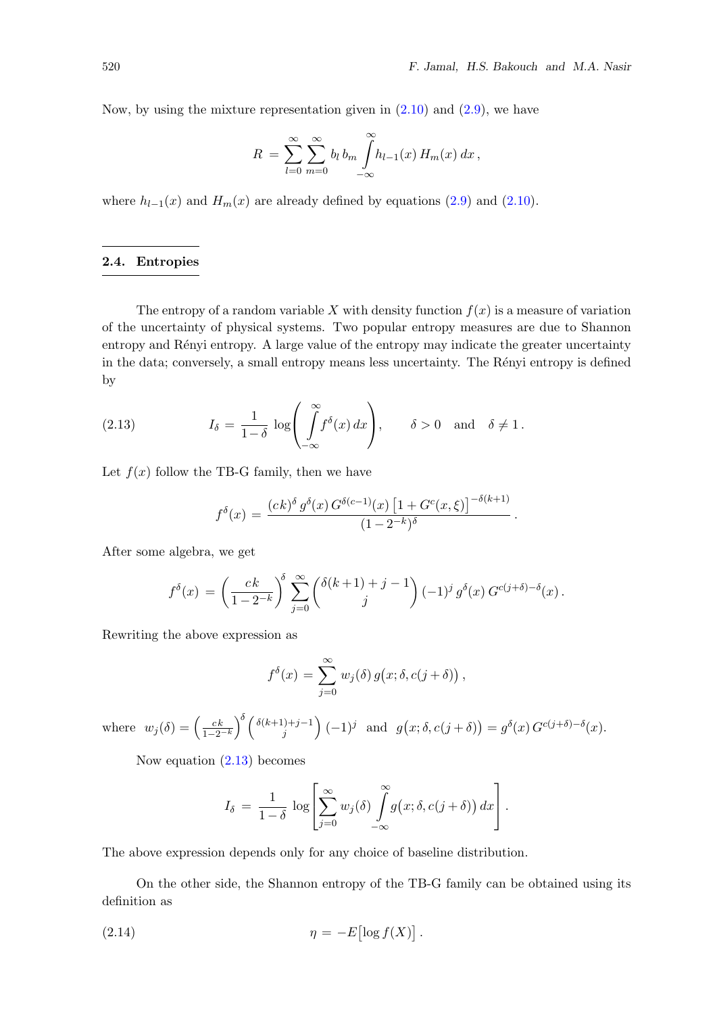Now, by using the mixture representation given in  $(2.10)$  and  $(2.9)$ , we have

$$
R = \sum_{l=0}^{\infty} \sum_{m=0}^{\infty} b_l b_m \int_{-\infty}^{\infty} h_{l-1}(x) H_m(x) dx,
$$

where  $h_{l-1}(x)$  and  $H_m(x)$  are already defined by equations [\(2.9\)](#page-4-1) and [\(2.10\)](#page-4-0).

## 2.4. Entropies

The entropy of a random variable X with density function  $f(x)$  is a measure of variation of the uncertainty of physical systems. Two popular entropy measures are due to Shannon entropy and Rényi entropy. A large value of the entropy may indicate the greater uncertainty in the data; conversely, a small entropy means less uncertainty. The Rényi entropy is defined by

<span id="page-7-0"></span>(2.13) 
$$
I_{\delta} = \frac{1}{1-\delta} \log \left( \int_{-\infty}^{\infty} f^{\delta}(x) dx \right), \quad \delta > 0 \text{ and } \delta \neq 1.
$$

Let  $f(x)$  follow the TB-G family, then we have

$$
f^{\delta}(x) = \frac{(ck)^{\delta} g^{\delta}(x) G^{\delta(c-1)}(x) [1 + G^{c}(x,\xi)]^{-\delta(k+1)}}{(1 - 2^{-k})^{\delta}}.
$$

After some algebra, we get

$$
f^{\delta}(x) = \left(\frac{ck}{1-2^{-k}}\right)^{\delta} \sum_{j=0}^{\infty} {\delta(k+1) + j - 1 \choose j} (-1)^{j} g^{\delta}(x) G^{c(j+\delta) - \delta}(x).
$$

Rewriting the above expression as

$$
f^{\delta}(x) = \sum_{j=0}^{\infty} w_j(\delta) g(x; \delta, c(j+\delta)),
$$

where  $w_j(\delta) = \left(\frac{ck}{1-2^{-k}}\right)^{\delta} \left(\frac{\delta(k+1)+j-1}{j}\right)$  $\left(g(j+1)\right)^{j}$  and  $g(x;\delta,c(j+\delta)) = g^{\delta}(x) G^{c(j+\delta)-\delta}(x)$ .

Now equation [\(2.13\)](#page-7-0) becomes

$$
I_{\delta} = \frac{1}{1-\delta} \log \left[ \sum_{j=0}^{\infty} w_j(\delta) \int_{-\infty}^{\infty} g(x; \delta, c(j+\delta)) dx \right].
$$

The above expression depends only for any choice of baseline distribution.

On the other side, the Shannon entropy of the TB-G family can be obtained using its definition as

$$
\eta = -E[\log f(X)].
$$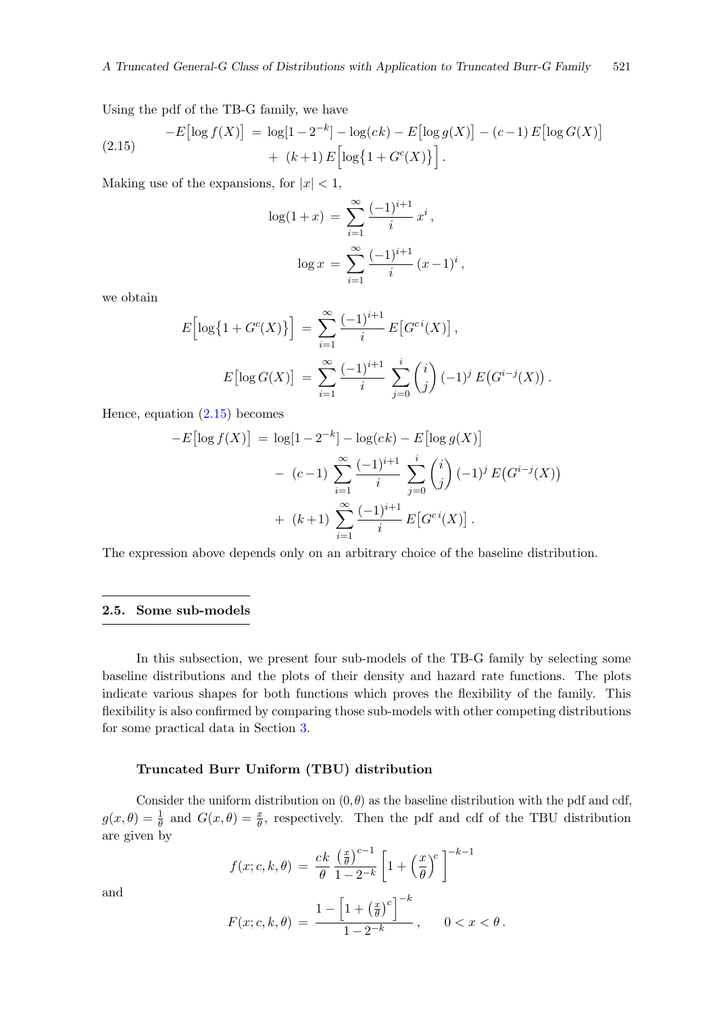Using the pdf of the TB-G family, we have

$$
-E\left[\log f(X)\right] = \log[1 - 2^{-k}] - \log(ck) - E\left[\log g(X)\right] - (c - 1)E\left[\log G(X)\right] + (k + 1)E\left[\log\{1 + G^c(X)\}\right].
$$
\n(2.15)

Making use of the expansions, for  $|x| < 1$ ,

<span id="page-8-0"></span>
$$
\log(1+x) = \sum_{i=1}^{\infty} \frac{(-1)^{i+1}}{i} x^{i},
$$

$$
\log x = \sum_{i=1}^{\infty} \frac{(-1)^{i+1}}{i} (x-1)^{i},
$$

we obtain

$$
E\left[\log\{1 + G^{c}(X)\}\right] = \sum_{i=1}^{\infty} \frac{(-1)^{i+1}}{i} E\left[G^{ci}(X)\right],
$$
  

$$
E\left[\log G(X)\right] = \sum_{i=1}^{\infty} \frac{(-1)^{i+1}}{i} \sum_{j=0}^{i} {i \choose j} (-1)^{j} E\left(G^{i-j}(X)\right).
$$

Hence, equation [\(2.15\)](#page-8-0) becomes

$$
-E\left[\log f(X)\right] = \log[1 - 2^{-k}] - \log(ck) - E\left[\log g(X)\right] \\
- (c - 1) \sum_{i=1}^{\infty} \frac{(-1)^{i+1}}{i} \sum_{j=0}^{i} {i \choose j} (-1)^j E(G^{i-j}(X)) \\
+ (k+1) \sum_{i=1}^{\infty} \frac{(-1)^{i+1}}{i} E\left[G^{ci}(X)\right].
$$

The expression above depends only on an arbitrary choice of the baseline distribution.

#### <span id="page-8-1"></span>2.5. Some sub-models

In this subsection, we present four sub-models of the TB-G family by selecting some baseline distributions and the plots of their density and hazard rate functions. The plots indicate various shapes for both functions which proves the flexibility of the family. This flexibility is also confirmed by comparing those sub-models with other competing distributions for some practical data in Section [3.](#page-11-0)

#### Truncated Burr Uniform (TBU) distribution

Consider the uniform distribution on  $(0, \theta)$  as the baseline distribution with the pdf and cdf,  $g(x,\theta) = \frac{1}{\theta}$  and  $G(x,\theta) = \frac{x}{\theta}$ , respectively. Then the pdf and cdf of the TBU distribution are given by

$$
f(x; c, k, \theta) = \frac{ck}{\theta} \frac{\left(\frac{x}{\theta}\right)^{c-1}}{1 - 2^{-k}} \left[1 + \left(\frac{x}{\theta}\right)^{c}\right]^{-k-1}
$$

$$
F(x; c, k, \theta) = \frac{1 - \left[1 + \left(\frac{x}{\theta}\right)^c\right]^{-k}}{1 - 2^{-k}}, \quad 0 < x < \theta.
$$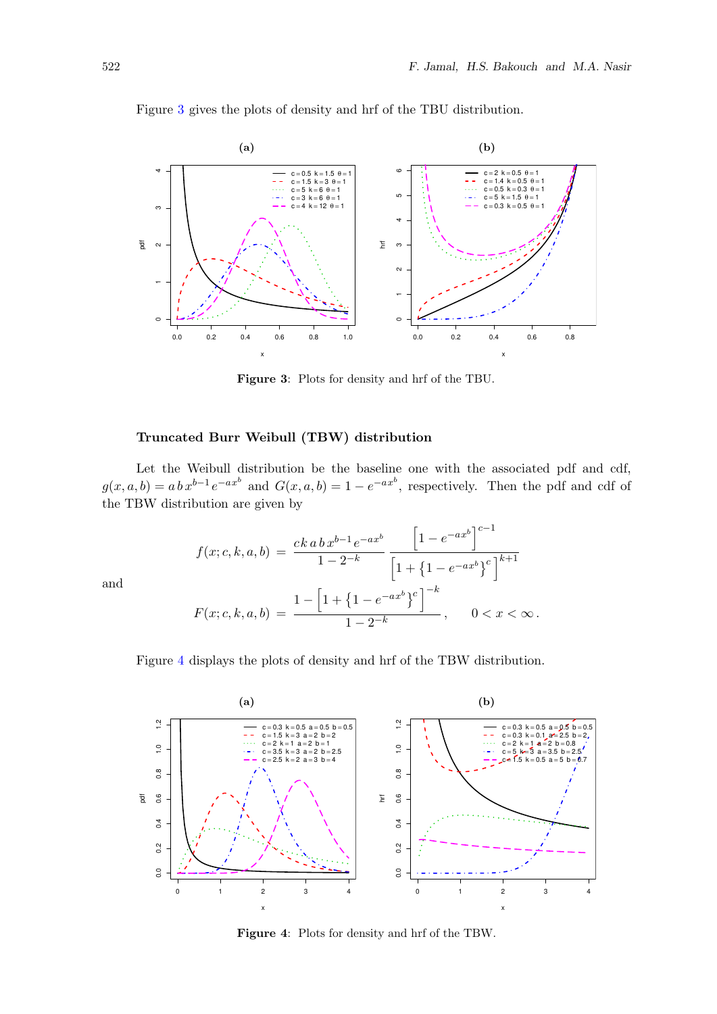<span id="page-9-0"></span>

Figure [3](#page-9-0) gives the plots of density and hrf of the TBU distribution.

Figure 3: Plots for density and hrf of the TBU.

### Truncated Burr Weibull (TBW) distribution

Let the Weibull distribution be the baseline one with the associated pdf and cdf,  $g(x, a, b) = abx^{b-1}e^{-ax^b}$  and  $G(x, a, b) = 1 - e^{-ax^b}$ , respectively. Then the pdf and cdf of the TBW distribution are given by

$$
f(x; c, k, a, b) = \frac{ck \, a \, b \, x^{b-1} \, e^{-ax^b}}{1 - 2^{-k}} \frac{\left[1 - e^{-ax^b}\right]^{c-1}}{\left[1 + \left\{1 - e^{-ax^b}\right\}^c\right]^{k+1}}
$$

$$
F(x; c, k, a, b) = \frac{1 - \left[1 + \left\{1 - e^{-ax^b}\right\}^c\right]^{-k}}{1 - 2^{-k}}, \qquad 0 < x < \infty.
$$

Figure [4](#page-9-1) displays the plots of density and hrf of the TBW distribution.

<span id="page-9-1"></span>

Figure 4: Plots for density and hrf of the TBW.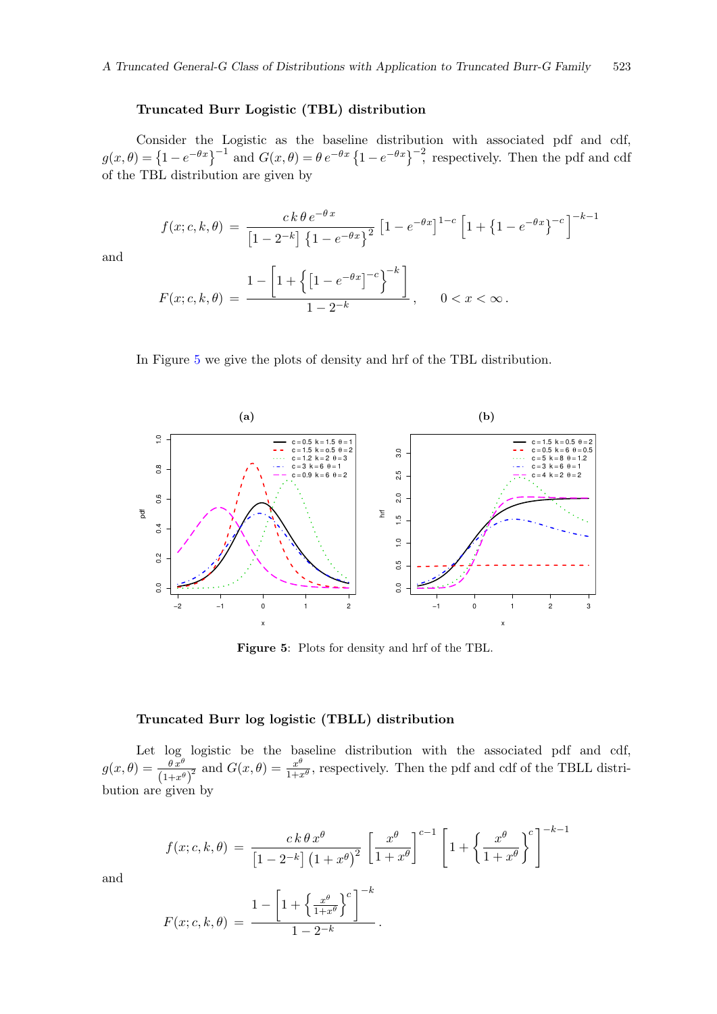#### Truncated Burr Logistic (TBL) distribution

Consider the Logistic as the baseline distribution with associated pdf and cdf,  $g(x,\theta) = \left\{1 - e^{-\theta x}\right\}^{-1}$  and  $G(x,\theta) = \theta e^{-\theta x} \left\{1 - e^{-\theta x}\right\}^{-2}$ , respectively. Then the pdf and cdf of the TBL distribution are given by

$$
f(x; c, k, \theta) = \frac{ck \theta e^{-\theta x}}{\left[1 - 2^{-k}\right] \left\{1 - e^{-\theta x}\right\}^2} \left[1 - e^{-\theta x}\right]^{1 - c} \left[1 + \left\{1 - e^{-\theta x}\right\}^{-c}\right]^{-k - 1}
$$

$$
F(x; c, k, \theta) = \frac{1 - \left[1 + \left\{\left[1 - e^{-\theta x}\right]^{-c}\right\}^{-k}\right]}{1 - 2^{-k}}, \quad 0 < x < \infty.
$$

and

$$
1 - 2^{-k} \qquad \qquad , \qquad 0 < x < \infty.
$$

In Figure [5](#page-10-0) we give the plots of density and hrf of the TBL distribution.

<span id="page-10-0"></span>

Figure 5: Plots for density and hrf of the TBL.

### Truncated Burr log logistic (TBLL) distribution

Let log logistic be the baseline distribution with the associated pdf and cdf,  $g(x, \theta) = \frac{\theta x^{\theta}}{(1+x^{\theta})^2}$  and  $G(x, \theta) = \frac{x^{\theta}}{1+x^{\theta}}$  $\frac{x^{\nu}}{1+x^{\theta}}$ , respectively. Then the pdf and cdf of the TBLL distribution are given by

$$
f(x; c, k, \theta) = \frac{ck \theta x^{\theta}}{\left[1 - 2^{-k}\right] \left(1 + x^{\theta}\right)^{2}} \left[\frac{x^{\theta}}{1 + x^{\theta}}\right]^{c-1} \left[1 + \left\{\frac{x^{\theta}}{1 + x^{\theta}}\right\}^{c}\right]^{-k-1}
$$

$$
1 - \left[1 + \left\{\frac{x^{\theta}}{1 + x^{\theta}}\right\}^{c}\right]^{-k}
$$

$$
F(x; c, k, \theta) = \frac{1 - \left[1 + \left\{\frac{x^{\theta}}{1 + x^{\theta}}\right\}^{c}\right]^{n}}{1 - 2^{-k}}.
$$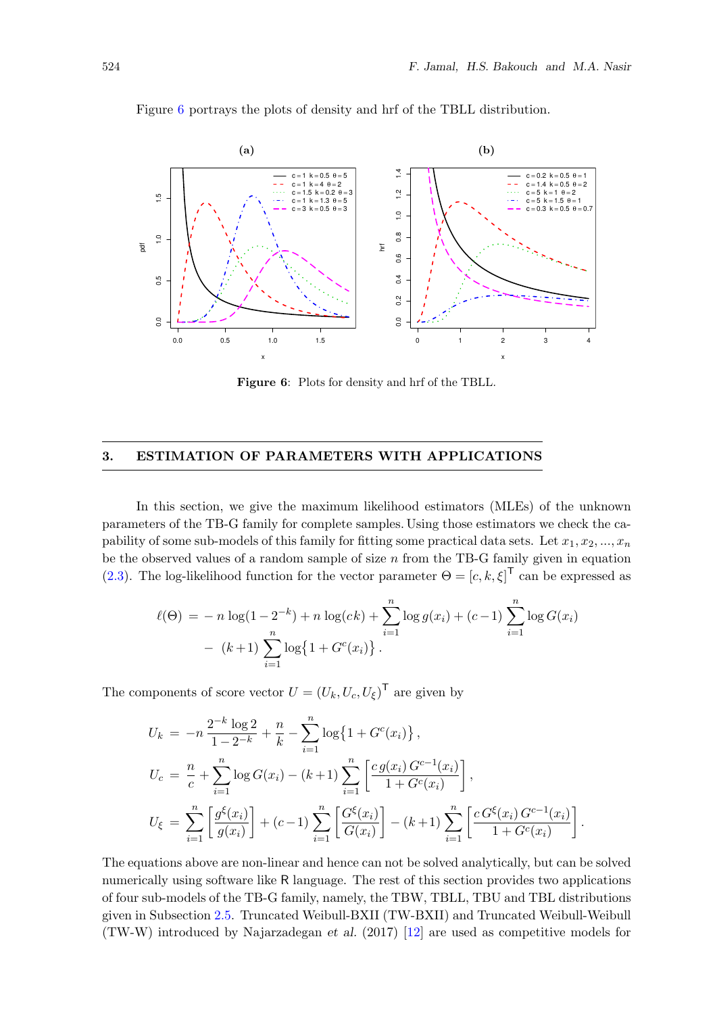<span id="page-11-1"></span>

Figure [6](#page-11-1) portrays the plots of density and hrf of the TBLL distribution.

Figure 6: Plots for density and hrf of the TBLL.

## <span id="page-11-0"></span>3. ESTIMATION OF PARAMETERS WITH APPLICATIONS

In this section, we give the maximum likelihood estimators (MLEs) of the unknown parameters of the TB-G family for complete samples. Using those estimators we check the capability of some sub-models of this family for fitting some practical data sets. Let  $x_1, x_2, ..., x_n$ be the observed values of a random sample of size  $n$  from the TB-G family given in equation [\(2.3\)](#page-3-2). The log-likelihood function for the vector parameter  $\Theta = [c, k, \xi]^T$  can be expressed as

$$
\ell(\Theta) = -n \log(1 - 2^{-k}) + n \log(ck) + \sum_{i=1}^{n} \log g(x_i) + (c - 1) \sum_{i=1}^{n} \log G(x_i)
$$

$$
- (k+1) \sum_{i=1}^{n} \log \{1 + G^c(x_i)\}.
$$

The components of score vector  $U = (U_k, U_c, U_\xi)^\mathsf{T}$  are given by

$$
U_k = -n \frac{2^{-k} \log 2}{1 - 2^{-k}} + \frac{n}{k} - \sum_{i=1}^n \log \{1 + G^c(x_i)\},
$$
  
\n
$$
U_c = \frac{n}{c} + \sum_{i=1}^n \log G(x_i) - (k+1) \sum_{i=1}^n \left[ \frac{cg(x_i) G^{c-1}(x_i)}{1 + G^c(x_i)} \right],
$$
  
\n
$$
U_{\xi} = \sum_{i=1}^n \left[ \frac{g^{\xi}(x_i)}{g(x_i)} \right] + (c-1) \sum_{i=1}^n \left[ \frac{G^{\xi}(x_i)}{G(x_i)} \right] - (k+1) \sum_{i=1}^n \left[ \frac{c G^{\xi}(x_i) G^{c-1}(x_i)}{1 + G^c(x_i)} \right].
$$

The equations above are non-linear and hence can not be solved analytically, but can be solved numerically using software like R language. The rest of this section provides two applications of four sub-models of the TB-G family, namely, the TBW, TBLL, TBU and TBL distributions given in Subsection [2.5.](#page-8-1) Truncated Weibull-BXII (TW-BXII) and Truncated Weibull-Weibull (TW-W) introduced by Najarzadegan et al. (2017) [\[12\]](#page-17-15) are used as competitive models for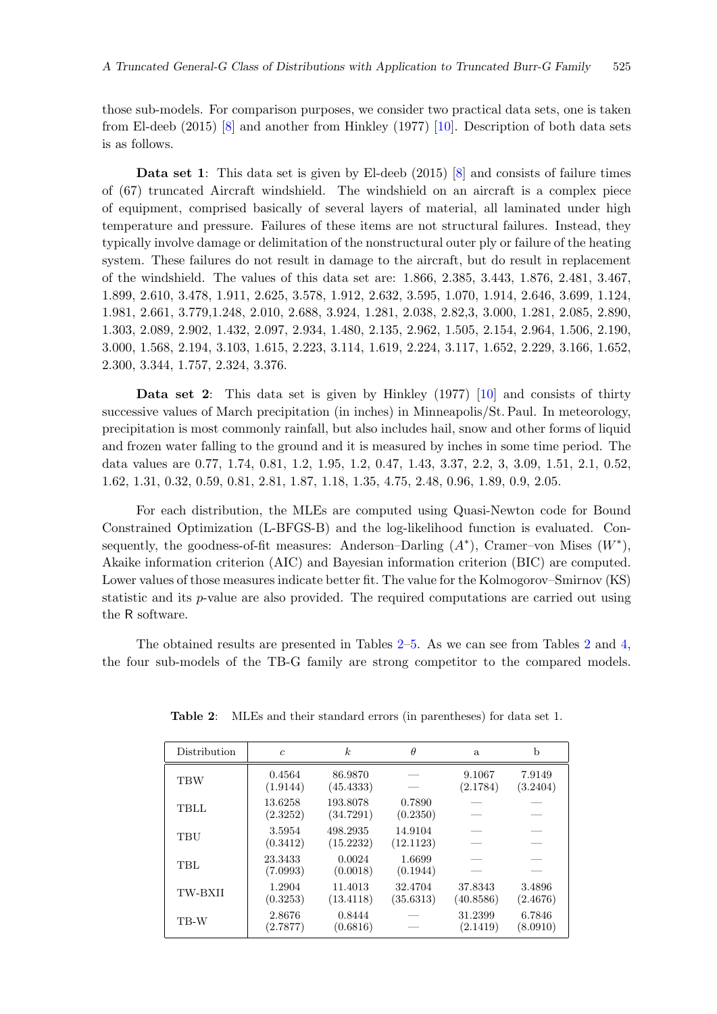those sub-models. For comparison purposes, we consider two practical data sets, one is taken from El-deeb (2015) [\[8\]](#page-17-17) and another from Hinkley (1977) [\[10\]](#page-17-18). Description of both data sets is as follows.

Data set 1: This data set is given by El-deeb (2015) [\[8\]](#page-17-17) and consists of failure times of (67) truncated Aircraft windshield. The windshield on an aircraft is a complex piece of equipment, comprised basically of several layers of material, all laminated under high temperature and pressure. Failures of these items are not structural failures. Instead, they typically involve damage or delimitation of the nonstructural outer ply or failure of the heating system. These failures do not result in damage to the aircraft, but do result in replacement of the windshield. The values of this data set are: 1.866, 2.385, 3.443, 1.876, 2.481, 3.467, 1.899, 2.610, 3.478, 1.911, 2.625, 3.578, 1.912, 2.632, 3.595, 1.070, 1.914, 2.646, 3.699, 1.124, 1.981, 2.661, 3.779,1.248, 2.010, 2.688, 3.924, 1.281, 2.038, 2.82,3, 3.000, 1.281, 2.085, 2.890, 1.303, 2.089, 2.902, 1.432, 2.097, 2.934, 1.480, 2.135, 2.962, 1.505, 2.154, 2.964, 1.506, 2.190, 3.000, 1.568, 2.194, 3.103, 1.615, 2.223, 3.114, 1.619, 2.224, 3.117, 1.652, 2.229, 3.166, 1.652, 2.300, 3.344, 1.757, 2.324, 3.376.

Data set 2: This data set is given by Hinkley (1977) [\[10\]](#page-17-18) and consists of thirty successive values of March precipitation (in inches) in Minneapolis/St. Paul. In meteorology, precipitation is most commonly rainfall, but also includes hail, snow and other forms of liquid and frozen water falling to the ground and it is measured by inches in some time period. The data values are 0.77, 1.74, 0.81, 1.2, 1.95, 1.2, 0.47, 1.43, 3.37, 2.2, 3, 3.09, 1.51, 2.1, 0.52, 1.62, 1.31, 0.32, 0.59, 0.81, 2.81, 1.87, 1.18, 1.35, 4.75, 2.48, 0.96, 1.89, 0.9, 2.05.

For each distribution, the MLEs are computed using Quasi-Newton code for Bound Constrained Optimization (L-BFGS-B) and the log-likelihood function is evaluated. Consequently, the goodness-of-fit measures: Anderson–Darling  $(A^*)$ , Cramer–von Mises  $(W^*)$ , Akaike information criterion (AIC) and Bayesian information criterion (BIC) are computed. Lower values of those measures indicate better fit. The value for the Kolmogorov–Smirnov (KS) statistic and its p-value are also provided. The required computations are carried out using the R software.

<span id="page-12-0"></span>The obtained results are presented in Tables [2](#page-12-0)[–5.](#page-13-0) As we can see from Tables [2](#page-12-0) and [4,](#page-13-1) the four sub-models of the TB-G family are strong competitor to the compared models.

| Distribution   | $\mathfrak{c}$      | $\boldsymbol{k}$      | $\theta$             | a                    | b                  |
|----------------|---------------------|-----------------------|----------------------|----------------------|--------------------|
| <b>TBW</b>     | 0.4564<br>(1.9144)  | 86.9870<br>(45.4333)  |                      | 9.1067<br>(2.1784)   | 7.9149<br>(3.2404) |
| TBLL           | 13.6258<br>(2.3252) | 193.8078<br>(34.7291) | 0.7890<br>(0.2350)   |                      |                    |
| TBU            | 3.5954<br>(0.3412)  | 498.2935<br>(15.2232) | 14.9104<br>(12.1123) |                      |                    |
| <b>TBL</b>     | 23.3433<br>(7.0993) | 0.0024<br>(0.0018)    | 1.6699<br>(0.1944)   |                      |                    |
| <b>TW-BXII</b> | 1.2904<br>(0.3253)  | 11.4013<br>(13.4118)  | 32.4704<br>(35.6313) | 37.8343<br>(40.8586) | 3.4896<br>(2.4676) |
| TB-W           | 2.8676<br>(2.7877)  | 0.8444<br>(0.6816)    |                      | 31.2399<br>(2.1419)  | 6.7846<br>(8.0910) |

Table 2: MLEs and their standard errors (in parentheses) for data set 1.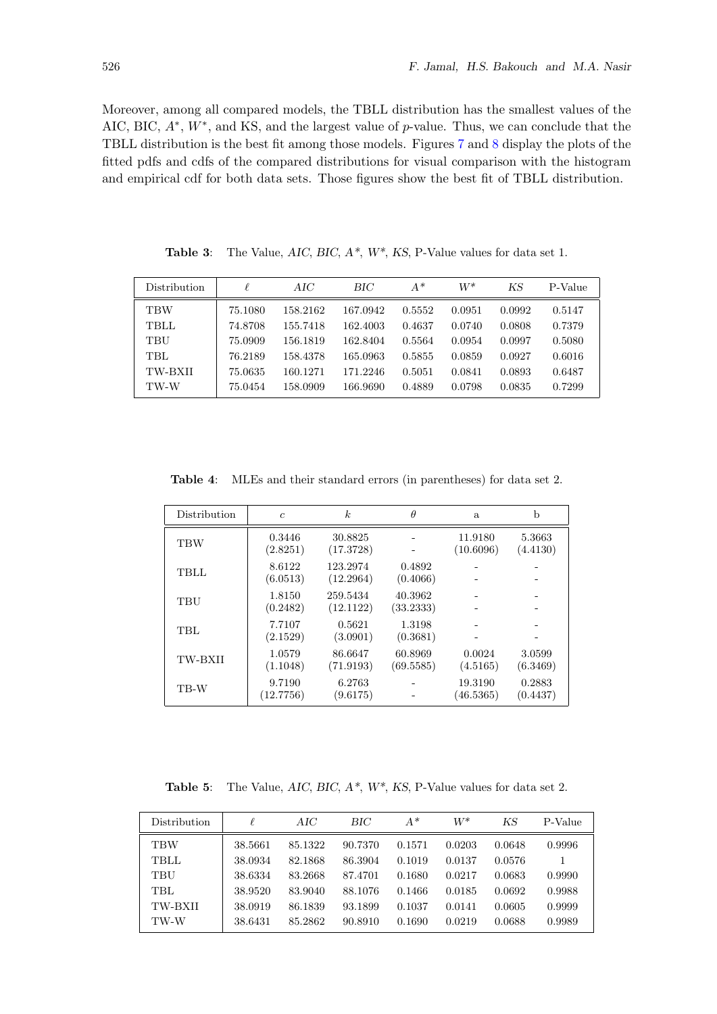Moreover, among all compared models, the TBLL distribution has the smallest values of the AIC, BIC,  $A^*$ ,  $W^*$ , and KS, and the largest value of p-value. Thus, we can conclude that the TBLL distribution is the best fit among those models. Figures [7](#page-14-1) and [8](#page-14-2) display the plots of the fitted pdfs and cdfs of the compared distributions for visual comparison with the histogram and empirical cdf for both data sets. Those figures show the best fit of TBLL distribution.

| Distribution | $\ell$  | AIC      | BІC      | $A^*$  | $W^*$  | ΚS     | P-Value |
|--------------|---------|----------|----------|--------|--------|--------|---------|
| <b>TBW</b>   | 75.1080 | 158.2162 | 167.0942 | 0.5552 | 0.0951 | 0.0992 | 0.5147  |
| <b>TBLL</b>  | 74.8708 | 155.7418 | 162.4003 | 0.4637 | 0.0740 | 0.0808 | 0.7379  |
| TBU          | 75.0909 | 156.1819 | 162.8404 | 0.5564 | 0.0954 | 0.0997 | 0.5080  |
| <b>TBL</b>   | 76.2189 | 158.4378 | 165.0963 | 0.5855 | 0.0859 | 0.0927 | 0.6016  |
| TW-BXII      | 75.0635 | 160.1271 | 171.2246 | 0.5051 | 0.0841 | 0.0893 | 0.6487  |
| TW-W         | 75.0454 | 158.0909 | 166.9690 | 0.4889 | 0.0798 | 0.0835 | 0.7299  |

Table 3: The Value,  $AIC$ ,  $BIC$ ,  $A^*$ ,  $W^*$ ,  $KS$ , P-Value values for data set 1.

<span id="page-13-1"></span>Table 4: MLEs and their standard errors (in parentheses) for data set 2.

| Distribution   | $\mathfrak{c}$      | $\boldsymbol{k}$      | $\theta$             | a                    | b                  |
|----------------|---------------------|-----------------------|----------------------|----------------------|--------------------|
| <b>TBW</b>     | 0.3446<br>(2.8251)  | 30.8825<br>(17.3728)  |                      | 11.9180<br>(10.6096) | 5.3663<br>(4.4130) |
| TBLL           | 8.6122<br>(6.0513)  | 123.2974<br>(12.2964) | 0.4892<br>(0.4066)   |                      |                    |
| TBU            | 1.8150<br>(0.2482)  | 259.5434<br>(12.1122) | 40.3962<br>(33.2333) |                      |                    |
| <b>TBL</b>     | 7.7107<br>(2.1529)  | 0.5621<br>(3.0901)    | 1.3198<br>(0.3681)   |                      |                    |
| <b>TW-BXII</b> | 1.0579<br>(1.1048)  | 86.6647<br>(71.9193)  | 60.8969<br>(69.5585) | 0.0024<br>(4.5165)   | 3.0599<br>(6.3469) |
| TB-W           | 9.7190<br>(12.7756) | 6.2763<br>(9.6175)    |                      | 19.3190<br>(46.5365) | 0.2883<br>(0.4437) |

<span id="page-13-0"></span>**Table 5:** The Value,  $AIC$ ,  $BIC$ ,  $A^*$ ,  $W^*$ ,  $KS$ , P-Value values for data set 2.

| Distribution | ł.      | AIC     | BIC     | $A^*$  | $W^*$  | ΚS     | P-Value |
|--------------|---------|---------|---------|--------|--------|--------|---------|
| <b>TBW</b>   | 38.5661 | 85.1322 | 90.7370 | 0.1571 | 0.0203 | 0.0648 | 0.9996  |
| <b>TBLL</b>  | 38.0934 | 82.1868 | 86.3904 | 0.1019 | 0.0137 | 0.0576 | 1       |
| TBU          | 38.6334 | 83.2668 | 87.4701 | 0.1680 | 0.0217 | 0.0683 | 0.9990  |
| TBL          | 38.9520 | 83.9040 | 88.1076 | 0.1466 | 0.0185 | 0.0692 | 0.9988  |
| TW-BXII      | 38.0919 | 86.1839 | 93.1899 | 0.1037 | 0.0141 | 0.0605 | 0.9999  |
| TW-W         | 38.6431 | 85.2862 | 90.8910 | 0.1690 | 0.0219 | 0.0688 | 0.9989  |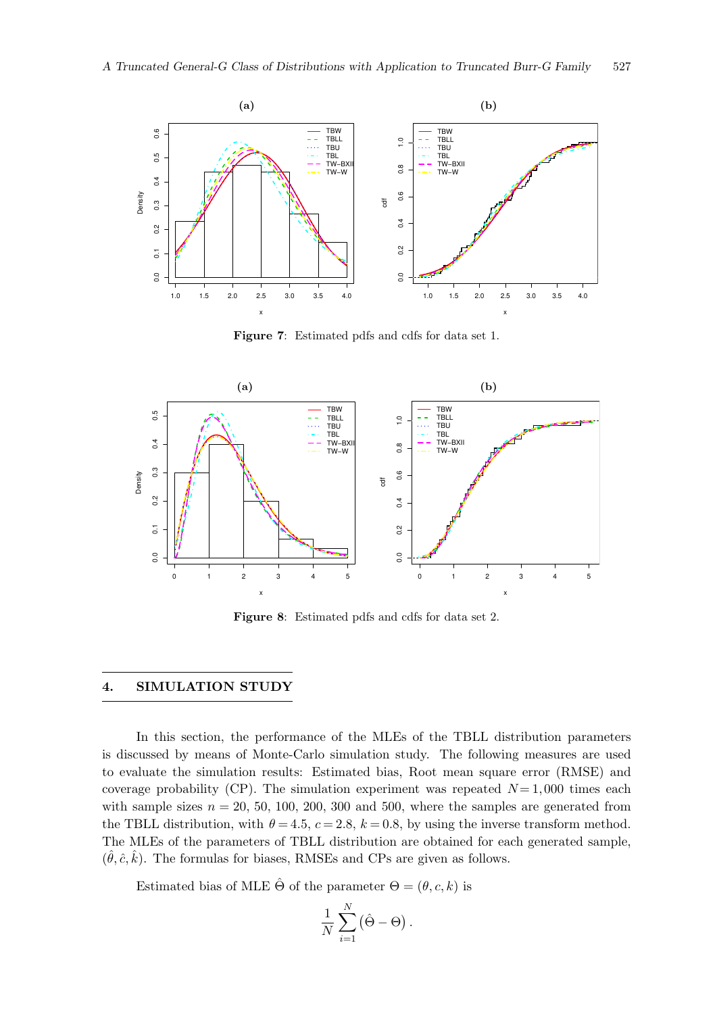<span id="page-14-1"></span>

Figure 7: Estimated pdfs and cdfs for data set 1.

<span id="page-14-2"></span>

Figure 8: Estimated pdfs and cdfs for data set 2.

#### <span id="page-14-0"></span>4. SIMULATION STUDY

In this section, the performance of the MLEs of the TBLL distribution parameters is discussed by means of Monte-Carlo simulation study. The following measures are used to evaluate the simulation results: Estimated bias, Root mean square error (RMSE) and coverage probability (CP). The simulation experiment was repeated  $N=1,000$  times each with sample sizes  $n = 20, 50, 100, 200, 300$  and 500, where the samples are generated from the TBLL distribution, with  $\theta = 4.5$ ,  $c = 2.8$ ,  $k = 0.8$ , by using the inverse transform method. The MLEs of the parameters of TBLL distribution are obtained for each generated sample,  $(\hat{\theta}, \hat{c}, \hat{k})$ . The formulas for biases, RMSEs and CPs are given as follows.

Estimated bias of MLE  $\hat{\Theta}$  of the parameter  $\Theta = (\theta, c, k)$  is

$$
\frac{1}{N}\sum_{i=1}^N (\hat{\Theta} - \Theta).
$$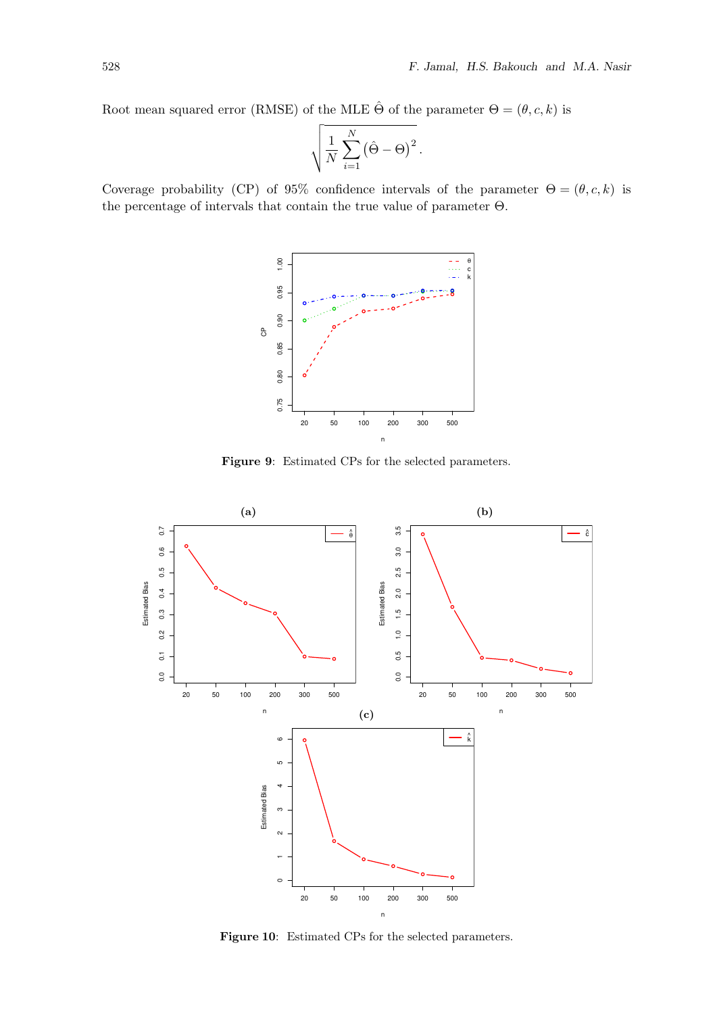Root mean squared error (RMSE) of the MLE  $\hat{\Theta}$  of the parameter  $\Theta = (\theta, c, k)$  is

$$
\sqrt{\frac{1}{N}\sum_{i=1}^{N} (\hat{\Theta} - \Theta)^2}.
$$

<span id="page-15-0"></span>Coverage probability (CP) of 95% confidence intervals of the parameter  $\Theta = (\theta, c, k)$  is the percentage of intervals that contain the true value of parameter Θ.



Figure 9: Estimated CPs for the selected parameters.



Figure 10: Estimated CPs for the selected parameters.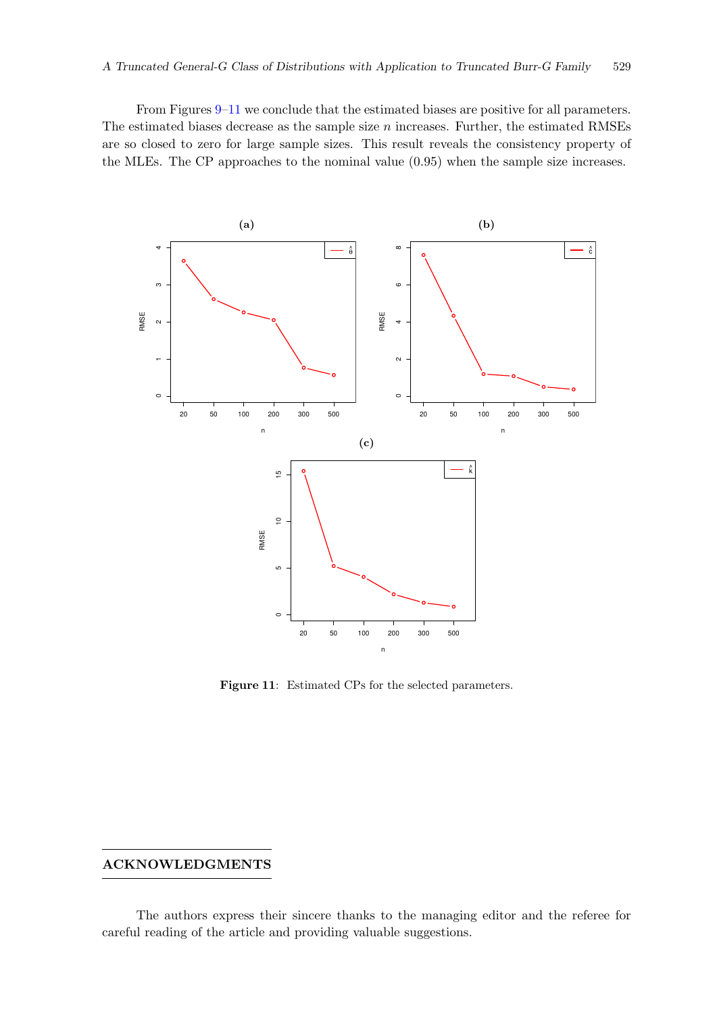From Figures [9](#page-15-0)[–11](#page-16-0) we conclude that the estimated biases are positive for all parameters. The estimated biases decrease as the sample size  $n$  increases. Further, the estimated RMSEs are so closed to zero for large sample sizes. This result reveals the consistency property of the MLEs. The CP approaches to the nominal value (0.95) when the sample size increases.

<span id="page-16-0"></span>

Figure 11: Estimated CPs for the selected parameters.

## ACKNOWLEDGMENTS

The authors express their sincere thanks to the managing editor and the referee for careful reading of the article and providing valuable suggestions.